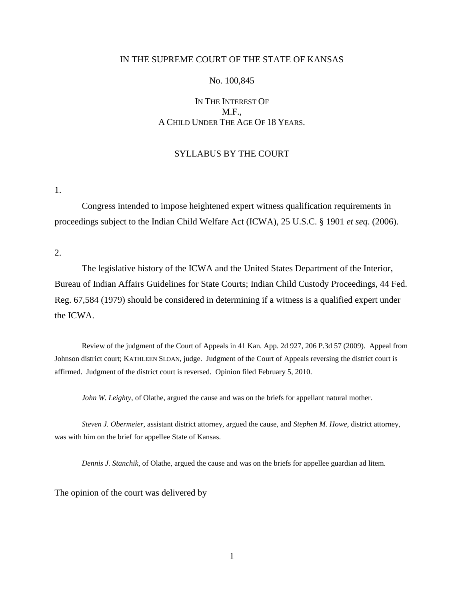## IN THE SUPREME COURT OF THE STATE OF KANSAS

### No. 100,845

# IN THE INTEREST OF M.F., A CHILD UNDER THE AGE OF 18 YEARS.

### SYLLABUS BY THE COURT

1.

Congress intended to impose heightened expert witness qualification requirements in proceedings subject to the Indian Child Welfare Act (ICWA), 25 U.S.C. § 1901 *et seq*. (2006).

2.

The legislative history of the ICWA and the United States Department of the Interior, Bureau of Indian Affairs Guidelines for State Courts; Indian Child Custody Proceedings, 44 Fed. Reg. 67,584 (1979) should be considered in determining if a witness is a qualified expert under the ICWA.

Review of the judgment of the Court of Appeals in 41 Kan. App. 2d 927, 206 P.3d 57 (2009). Appeal from Johnson district court; KATHLEEN SLOAN, judge. Judgment of the Court of Appeals reversing the district court is affirmed. Judgment of the district court is reversed. Opinion filed February 5, 2010.

*John W. Leighty*, of Olathe, argued the cause and was on the briefs for appellant natural mother.

*Steven J. Obermeier*, assistant district attorney, argued the cause, and *Stephen M. Howe*, district attorney, was with him on the brief for appellee State of Kansas.

*Dennis J. Stanchik*, of Olathe, argued the cause and was on the briefs for appellee guardian ad litem.

The opinion of the court was delivered by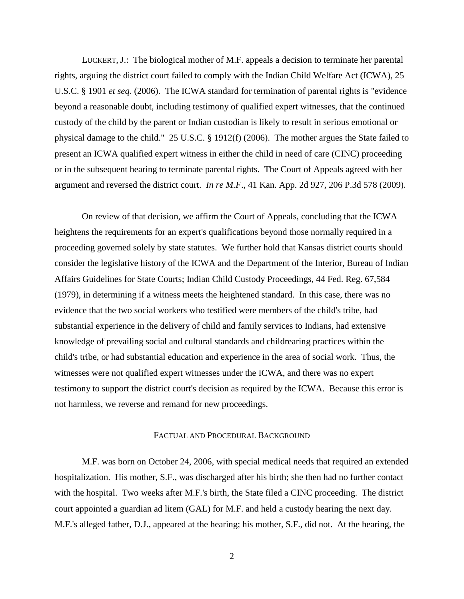LUCKERT, J.: The biological mother of M.F. appeals a decision to terminate her parental rights, arguing the district court failed to comply with the Indian Child Welfare Act (ICWA), 25 U.S.C. § 1901 *et seq*. (2006). The ICWA standard for termination of parental rights is "evidence beyond a reasonable doubt, including testimony of qualified expert witnesses, that the continued custody of the child by the parent or Indian custodian is likely to result in serious emotional or physical damage to the child." 25 U.S.C. § 1912(f) (2006). The mother argues the State failed to present an ICWA qualified expert witness in either the child in need of care (CINC) proceeding or in the subsequent hearing to terminate parental rights. The Court of Appeals agreed with her argument and reversed the district court. *In re M.F*., 41 Kan. App. 2d 927, 206 P.3d 578 (2009).

On review of that decision, we affirm the Court of Appeals, concluding that the ICWA heightens the requirements for an expert's qualifications beyond those normally required in a proceeding governed solely by state statutes. We further hold that Kansas district courts should consider the legislative history of the ICWA and the Department of the Interior, Bureau of Indian Affairs Guidelines for State Courts; Indian Child Custody Proceedings, 44 Fed. Reg. 67,584 (1979), in determining if a witness meets the heightened standard. In this case, there was no evidence that the two social workers who testified were members of the child's tribe, had substantial experience in the delivery of child and family services to Indians, had extensive knowledge of prevailing social and cultural standards and childrearing practices within the child's tribe, or had substantial education and experience in the area of social work. Thus, the witnesses were not qualified expert witnesses under the ICWA, and there was no expert testimony to support the district court's decision as required by the ICWA. Because this error is not harmless, we reverse and remand for new proceedings.

#### FACTUAL AND PROCEDURAL BACKGROUND

M.F. was born on October 24, 2006, with special medical needs that required an extended hospitalization. His mother, S.F., was discharged after his birth; she then had no further contact with the hospital. Two weeks after M.F.'s birth, the State filed a CINC proceeding. The district court appointed a guardian ad litem (GAL) for M.F. and held a custody hearing the next day. M.F.'s alleged father, D.J., appeared at the hearing; his mother, S.F., did not. At the hearing, the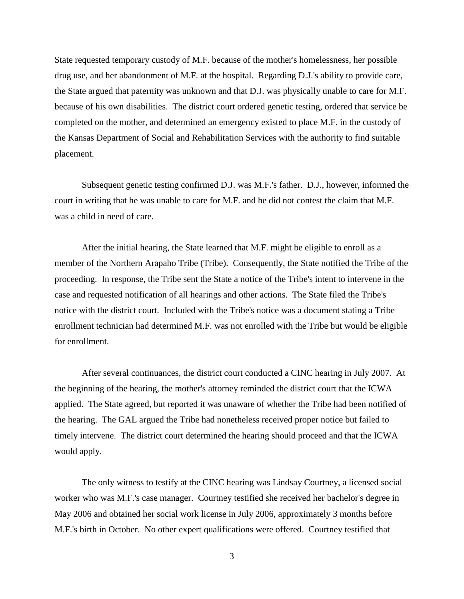State requested temporary custody of M.F. because of the mother's homelessness, her possible drug use, and her abandonment of M.F. at the hospital. Regarding D.J.'s ability to provide care, the State argued that paternity was unknown and that D.J. was physically unable to care for M.F. because of his own disabilities. The district court ordered genetic testing, ordered that service be completed on the mother, and determined an emergency existed to place M.F. in the custody of the Kansas Department of Social and Rehabilitation Services with the authority to find suitable placement.

Subsequent genetic testing confirmed D.J. was M.F.'s father. D.J., however, informed the court in writing that he was unable to care for M.F. and he did not contest the claim that M.F. was a child in need of care.

After the initial hearing, the State learned that M.F. might be eligible to enroll as a member of the Northern Arapaho Tribe (Tribe). Consequently, the State notified the Tribe of the proceeding. In response, the Tribe sent the State a notice of the Tribe's intent to intervene in the case and requested notification of all hearings and other actions. The State filed the Tribe's notice with the district court. Included with the Tribe's notice was a document stating a Tribe enrollment technician had determined M.F. was not enrolled with the Tribe but would be eligible for enrollment.

After several continuances, the district court conducted a CINC hearing in July 2007. At the beginning of the hearing, the mother's attorney reminded the district court that the ICWA applied. The State agreed, but reported it was unaware of whether the Tribe had been notified of the hearing. The GAL argued the Tribe had nonetheless received proper notice but failed to timely intervene. The district court determined the hearing should proceed and that the ICWA would apply.

The only witness to testify at the CINC hearing was Lindsay Courtney, a licensed social worker who was M.F.'s case manager. Courtney testified she received her bachelor's degree in May 2006 and obtained her social work license in July 2006, approximately 3 months before M.F.'s birth in October. No other expert qualifications were offered. Courtney testified that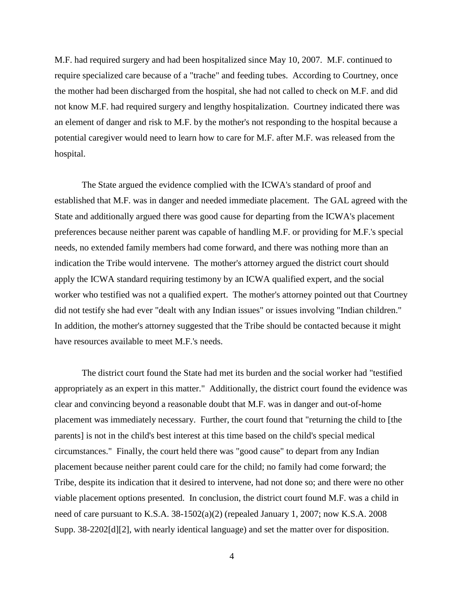M.F. had required surgery and had been hospitalized since May 10, 2007. M.F. continued to require specialized care because of a "trache" and feeding tubes. According to Courtney, once the mother had been discharged from the hospital, she had not called to check on M.F. and did not know M.F. had required surgery and lengthy hospitalization. Courtney indicated there was an element of danger and risk to M.F. by the mother's not responding to the hospital because a potential caregiver would need to learn how to care for M.F. after M.F. was released from the hospital.

The State argued the evidence complied with the ICWA's standard of proof and established that M.F. was in danger and needed immediate placement. The GAL agreed with the State and additionally argued there was good cause for departing from the ICWA's placement preferences because neither parent was capable of handling M.F. or providing for M.F.'s special needs, no extended family members had come forward, and there was nothing more than an indication the Tribe would intervene. The mother's attorney argued the district court should apply the ICWA standard requiring testimony by an ICWA qualified expert, and the social worker who testified was not a qualified expert. The mother's attorney pointed out that Courtney did not testify she had ever "dealt with any Indian issues" or issues involving "Indian children." In addition, the mother's attorney suggested that the Tribe should be contacted because it might have resources available to meet M.F.'s needs.

The district court found the State had met its burden and the social worker had "testified appropriately as an expert in this matter." Additionally, the district court found the evidence was clear and convincing beyond a reasonable doubt that M.F. was in danger and out-of-home placement was immediately necessary. Further, the court found that "returning the child to [the parents] is not in the child's best interest at this time based on the child's special medical circumstances." Finally, the court held there was "good cause" to depart from any Indian placement because neither parent could care for the child; no family had come forward; the Tribe, despite its indication that it desired to intervene, had not done so; and there were no other viable placement options presented. In conclusion, the district court found M.F. was a child in need of care pursuant to K.S.A. 38-1502(a)(2) (repealed January 1, 2007; now K.S.A. 2008 Supp. 38-2202[d][2], with nearly identical language) and set the matter over for disposition.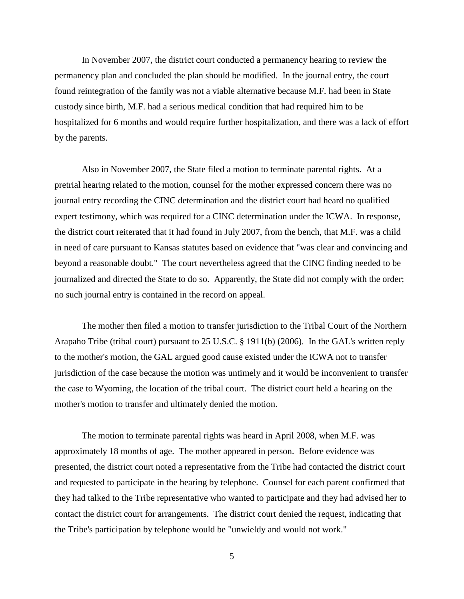In November 2007, the district court conducted a permanency hearing to review the permanency plan and concluded the plan should be modified. In the journal entry, the court found reintegration of the family was not a viable alternative because M.F. had been in State custody since birth, M.F. had a serious medical condition that had required him to be hospitalized for 6 months and would require further hospitalization, and there was a lack of effort by the parents.

Also in November 2007, the State filed a motion to terminate parental rights. At a pretrial hearing related to the motion, counsel for the mother expressed concern there was no journal entry recording the CINC determination and the district court had heard no qualified expert testimony, which was required for a CINC determination under the ICWA. In response, the district court reiterated that it had found in July 2007, from the bench, that M.F. was a child in need of care pursuant to Kansas statutes based on evidence that "was clear and convincing and beyond a reasonable doubt." The court nevertheless agreed that the CINC finding needed to be journalized and directed the State to do so. Apparently, the State did not comply with the order; no such journal entry is contained in the record on appeal.

The mother then filed a motion to transfer jurisdiction to the Tribal Court of the Northern Arapaho Tribe (tribal court) pursuant to 25 U.S.C. § 1911(b) (2006). In the GAL's written reply to the mother's motion, the GAL argued good cause existed under the ICWA not to transfer jurisdiction of the case because the motion was untimely and it would be inconvenient to transfer the case to Wyoming, the location of the tribal court. The district court held a hearing on the mother's motion to transfer and ultimately denied the motion.

The motion to terminate parental rights was heard in April 2008, when M.F. was approximately 18 months of age. The mother appeared in person. Before evidence was presented, the district court noted a representative from the Tribe had contacted the district court and requested to participate in the hearing by telephone. Counsel for each parent confirmed that they had talked to the Tribe representative who wanted to participate and they had advised her to contact the district court for arrangements. The district court denied the request, indicating that the Tribe's participation by telephone would be "unwieldy and would not work."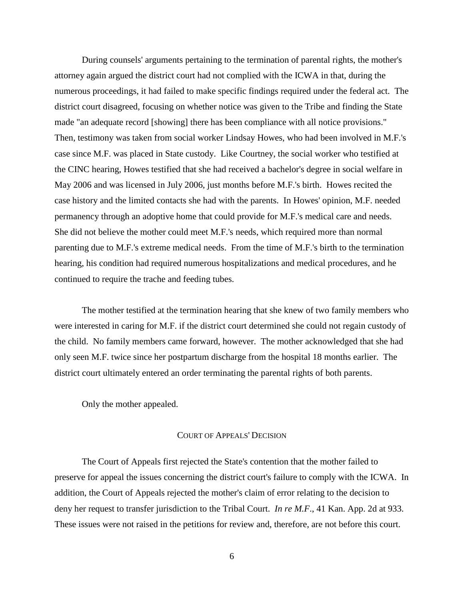During counsels' arguments pertaining to the termination of parental rights, the mother's attorney again argued the district court had not complied with the ICWA in that, during the numerous proceedings, it had failed to make specific findings required under the federal act. The district court disagreed, focusing on whether notice was given to the Tribe and finding the State made "an adequate record [showing] there has been compliance with all notice provisions." Then, testimony was taken from social worker Lindsay Howes, who had been involved in M.F.'s case since M.F. was placed in State custody. Like Courtney, the social worker who testified at the CINC hearing, Howes testified that she had received a bachelor's degree in social welfare in May 2006 and was licensed in July 2006, just months before M.F.'s birth. Howes recited the case history and the limited contacts she had with the parents. In Howes' opinion, M.F. needed permanency through an adoptive home that could provide for M.F.'s medical care and needs. She did not believe the mother could meet M.F.'s needs, which required more than normal parenting due to M.F.'s extreme medical needs. From the time of M.F.'s birth to the termination hearing, his condition had required numerous hospitalizations and medical procedures, and he continued to require the trache and feeding tubes.

The mother testified at the termination hearing that she knew of two family members who were interested in caring for M.F. if the district court determined she could not regain custody of the child. No family members came forward, however. The mother acknowledged that she had only seen M.F. twice since her postpartum discharge from the hospital 18 months earlier. The district court ultimately entered an order terminating the parental rights of both parents.

Only the mother appealed.

#### COURT OF APPEALS' DECISION

The Court of Appeals first rejected the State's contention that the mother failed to preserve for appeal the issues concerning the district court's failure to comply with the ICWA. In addition, the Court of Appeals rejected the mother's claim of error relating to the decision to deny her request to transfer jurisdiction to the Tribal Court. *In re M.F*., 41 Kan. App. 2d at 933. These issues were not raised in the petitions for review and, therefore, are not before this court.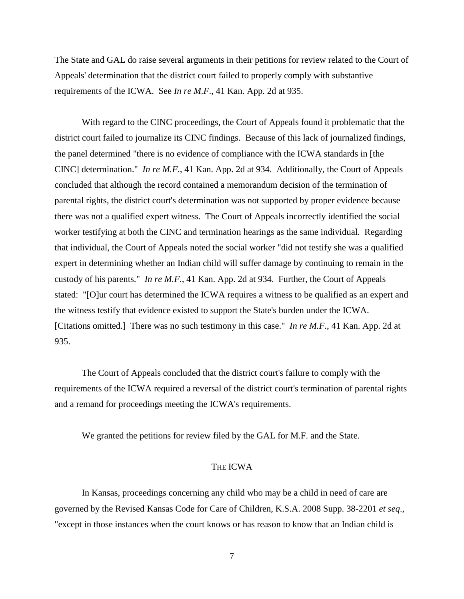The State and GAL do raise several arguments in their petitions for review related to the Court of Appeals' determination that the district court failed to properly comply with substantive requirements of the ICWA. See *In re M.F*., 41 Kan. App. 2d at 935.

With regard to the CINC proceedings, the Court of Appeals found it problematic that the district court failed to journalize its CINC findings. Because of this lack of journalized findings, the panel determined "there is no evidence of compliance with the ICWA standards in [the CINC] determination." *In re M.F*., 41 Kan. App. 2d at 934. Additionally, the Court of Appeals concluded that although the record contained a memorandum decision of the termination of parental rights, the district court's determination was not supported by proper evidence because there was not a qualified expert witness. The Court of Appeals incorrectly identified the social worker testifying at both the CINC and termination hearings as the same individual. Regarding that individual, the Court of Appeals noted the social worker "did not testify she was a qualified expert in determining whether an Indian child will suffer damage by continuing to remain in the custody of his parents." *In re M.F.*, 41 Kan. App. 2d at 934. Further, the Court of Appeals stated: "[O]ur court has determined the ICWA requires a witness to be qualified as an expert and the witness testify that evidence existed to support the State's burden under the ICWA. [Citations omitted.] There was no such testimony in this case." *In re M.F*., 41 Kan. App. 2d at 935.

The Court of Appeals concluded that the district court's failure to comply with the requirements of the ICWA required a reversal of the district court's termination of parental rights and a remand for proceedings meeting the ICWA's requirements.

We granted the petitions for review filed by the GAL for M.F. and the State.

### THE ICWA

In Kansas, proceedings concerning any child who may be a child in need of care are governed by the Revised Kansas Code for Care of Children, K.S.A. 2008 Supp. 38-2201 *et seq*., "except in those instances when the court knows or has reason to know that an Indian child is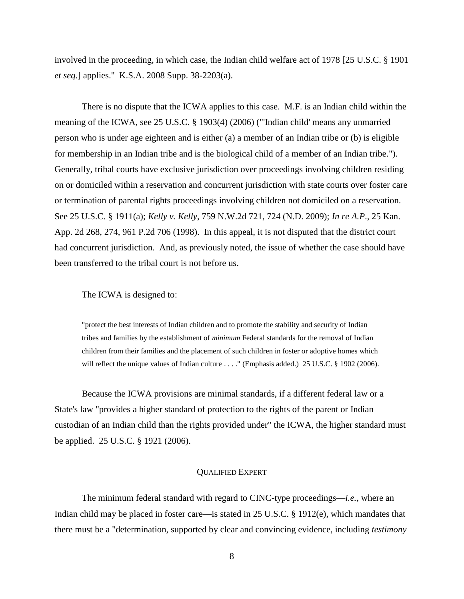involved in the proceeding, in which case, the Indian child welfare act of 1978 [25 U.S.C. § 1901 *et seq*.] applies." K.S.A. 2008 Supp. 38-2203(a).

There is no dispute that the ICWA applies to this case. M.F. is an Indian child within the meaning of the ICWA, see 25 U.S.C. § 1903(4) (2006) ("'Indian child' means any unmarried person who is under age eighteen and is either (a) a member of an Indian tribe or (b) is eligible for membership in an Indian tribe and is the biological child of a member of an Indian tribe."). Generally, tribal courts have exclusive jurisdiction over proceedings involving children residing on or domiciled within a reservation and concurrent jurisdiction with state courts over foster care or termination of parental rights proceedings involving children not domiciled on a reservation. See 25 U.S.C. § 1911(a); *Kelly v. Kelly*, 759 N.W.2d 721, 724 (N.D. 2009); *In re A.P*., 25 Kan. App. 2d 268, 274, 961 P.2d 706 (1998). In this appeal, it is not disputed that the district court had concurrent jurisdiction. And, as previously noted, the issue of whether the case should have been transferred to the tribal court is not before us.

### The ICWA is designed to:

"protect the best interests of Indian children and to promote the stability and security of Indian tribes and families by the establishment of *minimum* Federal standards for the removal of Indian children from their families and the placement of such children in foster or adoptive homes which will reflect the unique values of Indian culture . . . ." (Emphasis added.) 25 U.S.C. § 1902 (2006).

Because the ICWA provisions are minimal standards, if a different federal law or a State's law "provides a higher standard of protection to the rights of the parent or Indian custodian of an Indian child than the rights provided under" the ICWA, the higher standard must be applied. 25 U.S.C. § 1921 (2006).

### QUALIFIED EXPERT

The minimum federal standard with regard to CINC-type proceedings—*i.e.*, where an Indian child may be placed in foster care—is stated in 25 U.S.C. § 1912(e), which mandates that there must be a "determination, supported by clear and convincing evidence, including *testimony*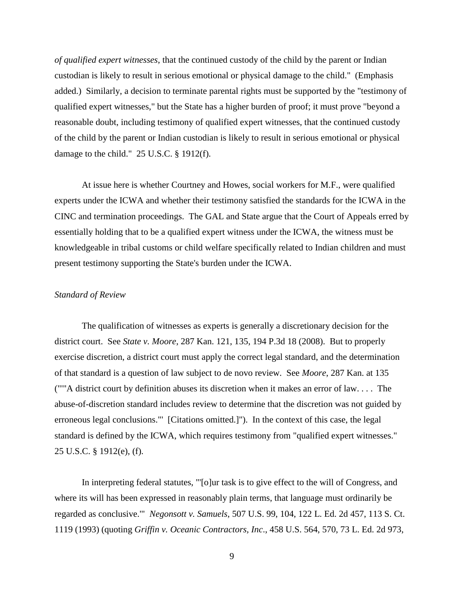*of qualified expert witnesses*, that the continued custody of the child by the parent or Indian custodian is likely to result in serious emotional or physical damage to the child." (Emphasis added.) Similarly, a decision to terminate parental rights must be supported by the "testimony of qualified expert witnesses," but the State has a higher burden of proof; it must prove "beyond a reasonable doubt, including testimony of qualified expert witnesses, that the continued custody of the child by the parent or Indian custodian is likely to result in serious emotional or physical damage to the child." 25 U.S.C. § 1912(f).

At issue here is whether Courtney and Howes, social workers for M.F., were qualified experts under the ICWA and whether their testimony satisfied the standards for the ICWA in the CINC and termination proceedings. The GAL and State argue that the Court of Appeals erred by essentially holding that to be a qualified expert witness under the ICWA, the witness must be knowledgeable in tribal customs or child welfare specifically related to Indian children and must present testimony supporting the State's burden under the ICWA.

### *Standard of Review*

The qualification of witnesses as experts is generally a discretionary decision for the district court. See *State v. Moore*, 287 Kan. 121, 135, 194 P.3d 18 (2008). But to properly exercise discretion, a district court must apply the correct legal standard, and the determination of that standard is a question of law subject to de novo review. See *Moore*, 287 Kan. at 135 ("'"A district court by definition abuses its discretion when it makes an error of law. . . . The abuse-of-discretion standard includes review to determine that the discretion was not guided by erroneous legal conclusions."' [Citations omitted.]"). In the context of this case, the legal standard is defined by the ICWA, which requires testimony from "qualified expert witnesses." 25 U.S.C. § 1912(e), (f).

In interpreting federal statutes, "'[o]ur task is to give effect to the will of Congress, and where its will has been expressed in reasonably plain terms, that language must ordinarily be regarded as conclusive.'" *Negonsott v. Samuels*, 507 U.S. 99, 104, 122 L. Ed. 2d 457, 113 S. Ct. 1119 (1993) (quoting *Griffin v. Oceanic Contractors, Inc*., 458 U.S. 564, 570, 73 L. Ed. 2d 973,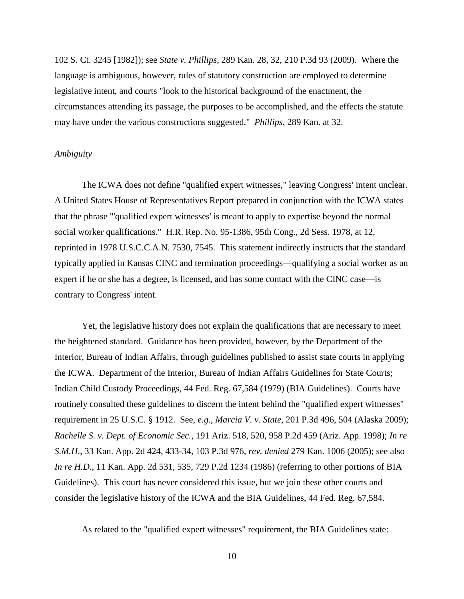102 S. Ct. 3245 [1982]); see *State v. Phillips*, 289 Kan. 28, 32, 210 P.3d 93 (2009). Where the language is ambiguous, however, rules of statutory construction are employed to determine legislative intent, and courts "look to the historical background of the enactment, the circumstances attending its passage, the purposes to be accomplished, and the effects the statute may have under the various constructions suggested." *Phillips*, 289 Kan. at 32.

## *Ambiguity*

The ICWA does not define "qualified expert witnesses," leaving Congress' intent unclear. A United States House of Representatives Report prepared in conjunction with the ICWA states that the phrase "'qualified expert witnesses' is meant to apply to expertise beyond the normal social worker qualifications." H.R. Rep. No. 95-1386, 95th Cong., 2d Sess. 1978, at 12, reprinted in 1978 U.S.C.C.A.N. 7530, 7545. This statement indirectly instructs that the standard typically applied in Kansas CINC and termination proceedings—qualifying a social worker as an expert if he or she has a degree, is licensed, and has some contact with the CINC case—is contrary to Congress' intent.

Yet, the legislative history does not explain the qualifications that are necessary to meet the heightened standard. Guidance has been provided, however, by the Department of the Interior, Bureau of Indian Affairs, through guidelines published to assist state courts in applying the ICWA. Department of the Interior, Bureau of Indian Affairs Guidelines for State Courts; Indian Child Custody Proceedings, 44 Fed. Reg. 67,584 (1979) (BIA Guidelines). Courts have routinely consulted these guidelines to discern the intent behind the "qualified expert witnesses" requirement in 25 U.S.C. § 1912. See, *e.g.*, *Marcia V. v. State*, 201 P.3d 496, 504 (Alaska 2009); *Rachelle S. v. Dept. of Economic Sec.*, 191 Ariz. 518, 520, 958 P.2d 459 (Ariz. App. 1998); *In re S.M.H*., 33 Kan. App. 2d 424, 433-34, 103 P.3d 976, *rev. denied* 279 Kan. 1006 (2005); see also *In re H.D.*, 11 Kan. App. 2d 531, 535, 729 P.2d 1234 (1986) (referring to other portions of BIA Guidelines). This court has never considered this issue, but we join these other courts and consider the legislative history of the ICWA and the BIA Guidelines, 44 Fed. Reg. 67,584.

As related to the "qualified expert witnesses" requirement, the BIA Guidelines state: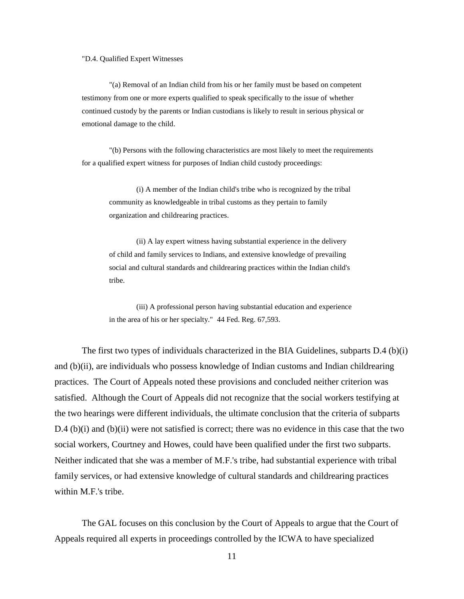#### "D.4. Qualified Expert Witnesses

"(a) Removal of an Indian child from his or her family must be based on competent testimony from one or more experts qualified to speak specifically to the issue of whether continued custody by the parents or Indian custodians is likely to result in serious physical or emotional damage to the child.

"(b) Persons with the following characteristics are most likely to meet the requirements for a qualified expert witness for purposes of Indian child custody proceedings:

(i) A member of the Indian child's tribe who is recognized by the tribal community as knowledgeable in tribal customs as they pertain to family organization and childrearing practices.

(ii) A lay expert witness having substantial experience in the delivery of child and family services to Indians, and extensive knowledge of prevailing social and cultural standards and childrearing practices within the Indian child's tribe.

(iii) A professional person having substantial education and experience in the area of his or her specialty." 44 Fed. Reg. 67,593.

The first two types of individuals characterized in the BIA Guidelines, subparts D.4 (b)(i) and (b)(ii), are individuals who possess knowledge of Indian customs and Indian childrearing practices. The Court of Appeals noted these provisions and concluded neither criterion was satisfied. Although the Court of Appeals did not recognize that the social workers testifying at the two hearings were different individuals, the ultimate conclusion that the criteria of subparts D.4 (b)(i) and (b)(ii) were not satisfied is correct; there was no evidence in this case that the two social workers, Courtney and Howes, could have been qualified under the first two subparts. Neither indicated that she was a member of M.F.'s tribe, had substantial experience with tribal family services, or had extensive knowledge of cultural standards and childrearing practices within M.F.'s tribe.

The GAL focuses on this conclusion by the Court of Appeals to argue that the Court of Appeals required all experts in proceedings controlled by the ICWA to have specialized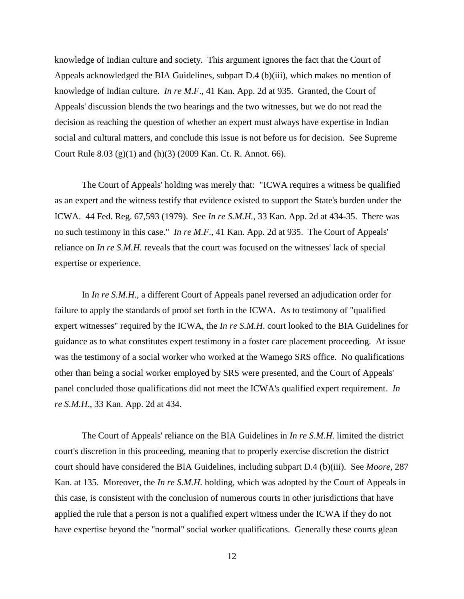knowledge of Indian culture and society. This argument ignores the fact that the Court of Appeals acknowledged the BIA Guidelines, subpart D.4 (b)(iii), which makes no mention of knowledge of Indian culture. *In re M.F*., 41 Kan. App. 2d at 935. Granted, the Court of Appeals' discussion blends the two hearings and the two witnesses, but we do not read the decision as reaching the question of whether an expert must always have expertise in Indian social and cultural matters, and conclude this issue is not before us for decision. See Supreme Court Rule 8.03 (g)(1) and (h)(3) (2009 Kan. Ct. R. Annot. 66).

The Court of Appeals' holding was merely that: "ICWA requires a witness be qualified as an expert and the witness testify that evidence existed to support the State's burden under the ICWA. 44 Fed. Reg. 67,593 (1979). See *In re S.M.H.,* 33 Kan. App. 2d at 434-35. There was no such testimony in this case." *In re M.F*., 41 Kan. App. 2d at 935. The Court of Appeals' reliance on *In re S.M.H.* reveals that the court was focused on the witnesses' lack of special expertise or experience.

In *In re S.M.H*., a different Court of Appeals panel reversed an adjudication order for failure to apply the standards of proof set forth in the ICWA. As to testimony of "qualified expert witnesses" required by the ICWA, the *In re S.M.H*. court looked to the BIA Guidelines for guidance as to what constitutes expert testimony in a foster care placement proceeding. At issue was the testimony of a social worker who worked at the Wamego SRS office. No qualifications other than being a social worker employed by SRS were presented, and the Court of Appeals' panel concluded those qualifications did not meet the ICWA's qualified expert requirement. *In re S.M.H*., 33 Kan. App. 2d at 434.

The Court of Appeals' reliance on the BIA Guidelines in *In re S.M.H.* limited the district court's discretion in this proceeding, meaning that to properly exercise discretion the district court should have considered the BIA Guidelines, including subpart D.4 (b)(iii). See *Moore*, 287 Kan. at 135. Moreover, the *In re S.M.H.* holding, which was adopted by the Court of Appeals in this case, is consistent with the conclusion of numerous courts in other jurisdictions that have applied the rule that a person is not a qualified expert witness under the ICWA if they do not have expertise beyond the "normal" social worker qualifications. Generally these courts glean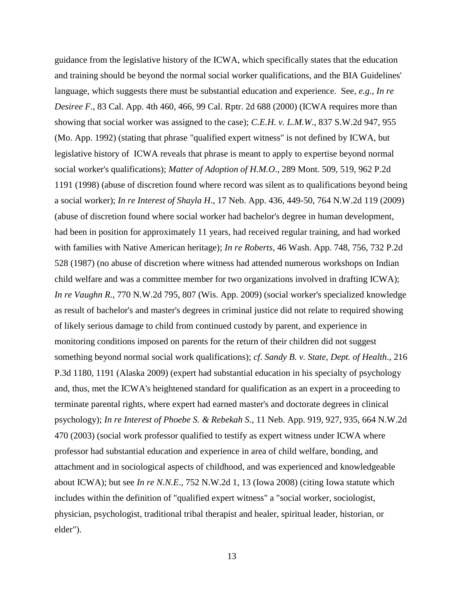guidance from the legislative history of the ICWA, which specifically states that the education and training should be beyond the normal social worker qualifications, and the BIA Guidelines' language, which suggests there must be substantial education and experience. See*, e.g.*, *In re Desiree F*., 83 Cal. App. 4th 460, 466, 99 Cal. Rptr. 2d 688 (2000) (ICWA requires more than showing that social worker was assigned to the case); *C.E.H. v. L.M.W*., 837 S.W.2d 947, 955 (Mo. App. 1992) (stating that phrase "qualified expert witness" is not defined by ICWA, but legislative history of ICWA reveals that phrase is meant to apply to expertise beyond normal social worker's qualifications); *Matter of Adoption of H.M.O*., 289 Mont. 509, 519, 962 P.2d 1191 (1998) (abuse of discretion found where record was silent as to qualifications beyond being a social worker); *In re Interest of Shayla H*., 17 Neb. App. 436, 449-50, 764 N.W.2d 119 (2009) (abuse of discretion found where social worker had bachelor's degree in human development, had been in position for approximately 11 years, had received regular training, and had worked with families with Native American heritage); *In re Roberts*, 46 Wash. App. 748, 756, 732 P.2d 528 (1987) (no abuse of discretion where witness had attended numerous workshops on Indian child welfare and was a committee member for two organizations involved in drafting ICWA); *In re Vaughn R*., 770 N.W.2d 795, 807 (Wis. App. 2009) (social worker's specialized knowledge as result of bachelor's and master's degrees in criminal justice did not relate to required showing of likely serious damage to child from continued custody by parent, and experience in monitoring conditions imposed on parents for the return of their children did not suggest something beyond normal social work qualifications); *cf*. *Sandy B. v. State, Dept. of Health*., 216 P.3d 1180, 1191 (Alaska 2009) (expert had substantial education in his specialty of psychology and, thus, met the ICWA's heightened standard for qualification as an expert in a proceeding to terminate parental rights, where expert had earned master's and doctorate degrees in clinical psychology); *In re Interest of Phoebe S. & Rebekah S*., 11 Neb. App. 919, 927, 935, 664 N.W.2d 470 (2003) (social work professor qualified to testify as expert witness under ICWA where professor had substantial education and experience in area of child welfare, bonding, and attachment and in sociological aspects of childhood, and was experienced and knowledgeable about ICWA); but see *In re N.N.E*., 752 N.W.2d 1, 13 (Iowa 2008) (citing Iowa statute which includes within the definition of "qualified expert witness" a "social worker, sociologist, physician, psychologist, traditional tribal therapist and healer, spiritual leader, historian, or elder").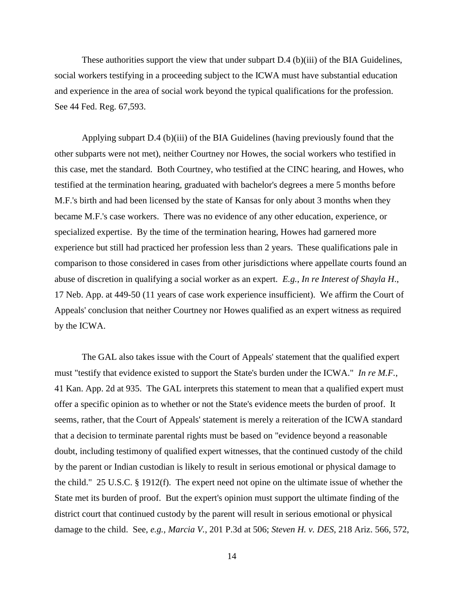These authorities support the view that under subpart D.4 (b)(iii) of the BIA Guidelines, social workers testifying in a proceeding subject to the ICWA must have substantial education and experience in the area of social work beyond the typical qualifications for the profession. See 44 Fed. Reg. 67,593.

Applying subpart D.4 (b)(iii) of the BIA Guidelines (having previously found that the other subparts were not met), neither Courtney nor Howes, the social workers who testified in this case, met the standard. Both Courtney, who testified at the CINC hearing, and Howes, who testified at the termination hearing, graduated with bachelor's degrees a mere 5 months before M.F.'s birth and had been licensed by the state of Kansas for only about 3 months when they became M.F.'s case workers. There was no evidence of any other education, experience, or specialized expertise. By the time of the termination hearing, Howes had garnered more experience but still had practiced her profession less than 2 years. These qualifications pale in comparison to those considered in cases from other jurisdictions where appellate courts found an abuse of discretion in qualifying a social worker as an expert. *E.g.*, *In re Interest of Shayla H*., 17 Neb. App. at 449-50 (11 years of case work experience insufficient). We affirm the Court of Appeals' conclusion that neither Courtney nor Howes qualified as an expert witness as required by the ICWA.

The GAL also takes issue with the Court of Appeals' statement that the qualified expert must "testify that evidence existed to support the State's burden under the ICWA." *In re M.F.*, 41 Kan. App. 2d at 935. The GAL interprets this statement to mean that a qualified expert must offer a specific opinion as to whether or not the State's evidence meets the burden of proof. It seems, rather, that the Court of Appeals' statement is merely a reiteration of the ICWA standard that a decision to terminate parental rights must be based on "evidence beyond a reasonable doubt, including testimony of qualified expert witnesses, that the continued custody of the child by the parent or Indian custodian is likely to result in serious emotional or physical damage to the child." 25 U.S.C. § 1912(f). The expert need not opine on the ultimate issue of whether the State met its burden of proof. But the expert's opinion must support the ultimate finding of the district court that continued custody by the parent will result in serious emotional or physical damage to the child. See, *e.g., Marcia V.*, 201 P.3d at 506; *Steven H. v. DES*, 218 Ariz. 566, 572,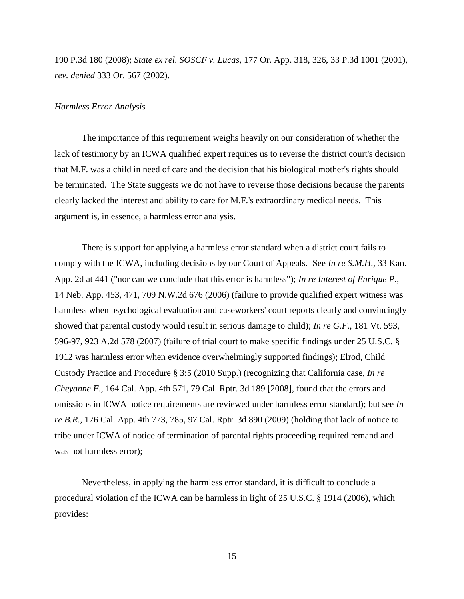190 P.3d 180 (2008); *State ex rel. SOSCF v. Lucas*, 177 Or. App. 318, 326, 33 P.3d 1001 (2001), *rev. denied* 333 Or. 567 (2002).

### *Harmless Error Analysis*

The importance of this requirement weighs heavily on our consideration of whether the lack of testimony by an ICWA qualified expert requires us to reverse the district court's decision that M.F. was a child in need of care and the decision that his biological mother's rights should be terminated. The State suggests we do not have to reverse those decisions because the parents clearly lacked the interest and ability to care for M.F.'s extraordinary medical needs. This argument is, in essence, a harmless error analysis.

There is support for applying a harmless error standard when a district court fails to comply with the ICWA, including decisions by our Court of Appeals. See *In re S.M.H*., 33 Kan. App. 2d at 441 ("nor can we conclude that this error is harmless"); *In re Interest of Enrique P*., 14 Neb. App. 453, 471, 709 N.W.2d 676 (2006) (failure to provide qualified expert witness was harmless when psychological evaluation and caseworkers' court reports clearly and convincingly showed that parental custody would result in serious damage to child); *In re G.F*., 181 Vt. 593, 596-97, 923 A.2d 578 (2007) (failure of trial court to make specific findings under 25 U.S.C. § 1912 was harmless error when evidence overwhelmingly supported findings); Elrod, Child Custody Practice and Procedure § 3:5 (2010 Supp.) (recognizing that California case, *In re Cheyanne F*., 164 Cal. App. 4th 571, 79 Cal. Rptr. 3d 189 [2008], found that the errors and omissions in ICWA notice requirements are reviewed under harmless error standard); but see *In re B.R*., 176 Cal. App. 4th 773, 785, 97 Cal. Rptr. 3d 890 (2009) (holding that lack of notice to tribe under ICWA of notice of termination of parental rights proceeding required remand and was not harmless error);

Nevertheless, in applying the harmless error standard, it is difficult to conclude a procedural violation of the ICWA can be harmless in light of 25 U.S.C. § 1914 (2006), which provides: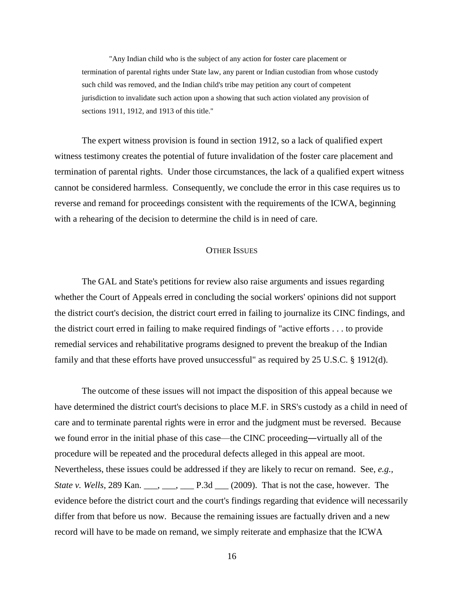"Any Indian child who is the subject of any action for foster care placement or termination of parental rights under State law, any parent or Indian custodian from whose custody such child was removed, and the Indian child's tribe may petition any court of competent jurisdiction to invalidate such action upon a showing that such action violated any provision of sections 1911, 1912, and 1913 of this title."

The expert witness provision is found in section 1912, so a lack of qualified expert witness testimony creates the potential of future invalidation of the foster care placement and termination of parental rights. Under those circumstances, the lack of a qualified expert witness cannot be considered harmless. Consequently, we conclude the error in this case requires us to reverse and remand for proceedings consistent with the requirements of the ICWA, beginning with a rehearing of the decision to determine the child is in need of care.

#### **OTHER ISSUES**

The GAL and State's petitions for review also raise arguments and issues regarding whether the Court of Appeals erred in concluding the social workers' opinions did not support the district court's decision, the district court erred in failing to journalize its CINC findings, and the district court erred in failing to make required findings of "active efforts . . . to provide remedial services and rehabilitative programs designed to prevent the breakup of the Indian family and that these efforts have proved unsuccessful" as required by 25 U.S.C. § 1912(d).

The outcome of these issues will not impact the disposition of this appeal because we have determined the district court's decisions to place M.F. in SRS's custody as a child in need of care and to terminate parental rights were in error and the judgment must be reversed. Because we found error in the initial phase of this case—the CINC proceeding―virtually all of the procedure will be repeated and the procedural defects alleged in this appeal are moot. Nevertheless, these issues could be addressed if they are likely to recur on remand. See, *e.g., State v. Wells*, 289 Kan. \_\_\_, \_\_\_, \_\_\_, P.3d \_\_\_ (2009). That is not the case, however. The evidence before the district court and the court's findings regarding that evidence will necessarily differ from that before us now. Because the remaining issues are factually driven and a new record will have to be made on remand, we simply reiterate and emphasize that the ICWA